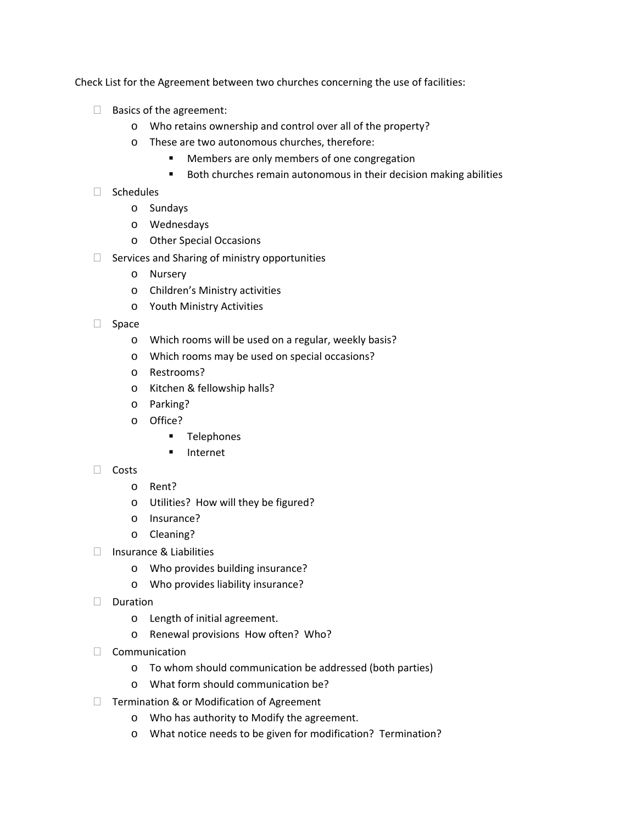Check List for the Agreement between two churches concerning the use of facilities:

- $\Box$  Basics of the agreement:
	- o Who retains ownership and control over all of the property?
	- o These are two autonomous churches, therefore:
		- **Members are only members of one congregation**
		- Both churches remain autonomous in their decision making abilities
- $\Box$  Schedules
	- o Sundays
	- o Wednesdays
	- o Other Special Occasions
- $\Box$  Services and Sharing of ministry opportunities
	- o Nursery
	- o Children's Ministry activities
	- o Youth Ministry Activities
- $\Box$  Space
	- o Which rooms will be used on a regular, weekly basis?
	- o Which rooms may be used on special occasions?
	- o Restrooms?
	- o Kitchen & fellowship halls?
	- o Parking?
	- o Office?
		- **Telephones**
		- **Internet**
- $\Box$  Costs
	- o Rent?
	- o Utilities? How will they be figured?
	- o Insurance?
	- o Cleaning?
- $\Box$  Insurance & Liabilities
	- o Who provides building insurance?
	- o Who provides liability insurance?
- $\neg$  Duration
	- o Length of initial agreement.
	- o Renewal provisions How often? Who?
- Communication
	- o To whom should communication be addressed (both parties)
	- o What form should communication be?
- $\Box$  Termination & or Modification of Agreement
	- o Who has authority to Modify the agreement.
	- o What notice needs to be given for modification? Termination?